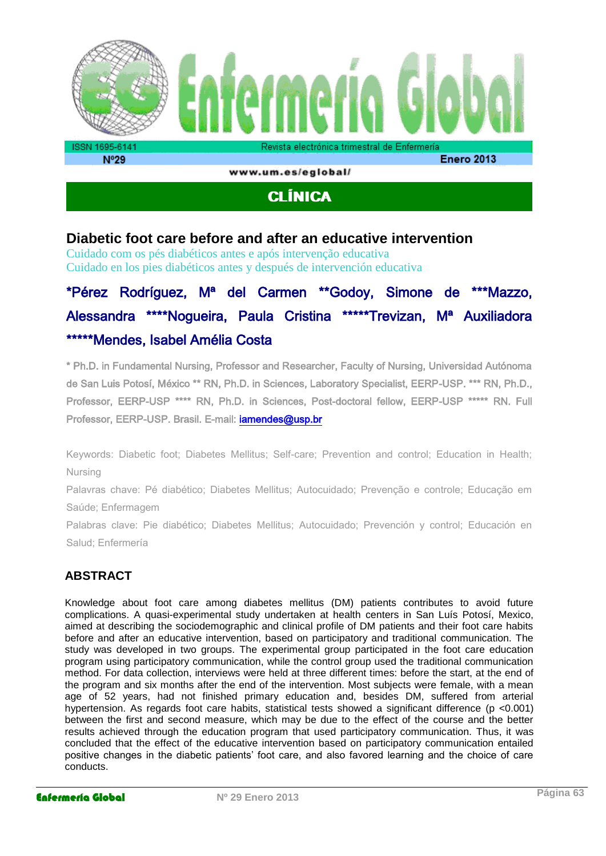

www.um.es/eglobal/

# **CLÍNICA**

# **Diabetic foot care before and after an educative intervention**

Cuidado com os pés diabéticos antes e após intervenção educativa Cuidado en los pies diabéticos antes y después de intervención educativa

# \*Pérez Rodríguez, Mª del Carmen \*\*Godoy, Simone de \*\*\*Mazzo, Alessandra \*\*\*\*Nogueira, Paula Cristina \*\*\*\*\*Trevizan, Mª Auxiliadora \*\*\*\*\*Mendes, Isabel Amélia Costa

\* Ph.D. in Fundamental Nursing, Professor and Researcher, Faculty of Nursing, Universidad Autónoma de San Luis Potosí, México \*\* RN, Ph.D. in Sciences, Laboratory Specialist, EERP-USP. \*\*\* RN, Ph.D., Professor, EERP-USP \*\*\*\* RN, Ph.D. in Sciences, Post-doctoral fellow, EERP-USP \*\*\*\*\* RN. Full Professor, EERP-USP. Brasil. E-mail: **iamendes@usp.br** 

Keywords: Diabetic foot; Diabetes Mellitus; Self-care; Prevention and control; Education in Health; Nursing

Palavras chave: Pé diabético; Diabetes Mellitus; Autocuidado; Prevenção e controle; Educação em Saúde; Enfermagem

Palabras clave: Pie diabético; Diabetes Mellitus; Autocuidado; Prevención y control; Educación en Salud; Enfermería

# **ABSTRACT**

Knowledge about foot care among diabetes mellitus (DM) patients contributes to avoid future complications. A quasi-experimental study undertaken at health centers in San Luís Potosí, Mexico, aimed at describing the sociodemographic and clinical profile of DM patients and their foot care habits before and after an educative intervention, based on participatory and traditional communication. The study was developed in two groups. The experimental group participated in the foot care education program using participatory communication, while the control group used the traditional communication method. For data collection, interviews were held at three different times: before the start, at the end of the program and six months after the end of the intervention. Most subjects were female, with a mean age of 52 years, had not finished primary education and, besides DM, suffered from arterial hypertension. As regards foot care habits, statistical tests showed a significant difference (p <0.001) between the first and second measure, which may be due to the effect of the course and the better results achieved through the education program that used participatory communication. Thus, it was concluded that the effect of the educative intervention based on participatory communication entailed positive changes in the diabetic patients' foot care, and also favored learning and the choice of care conducts.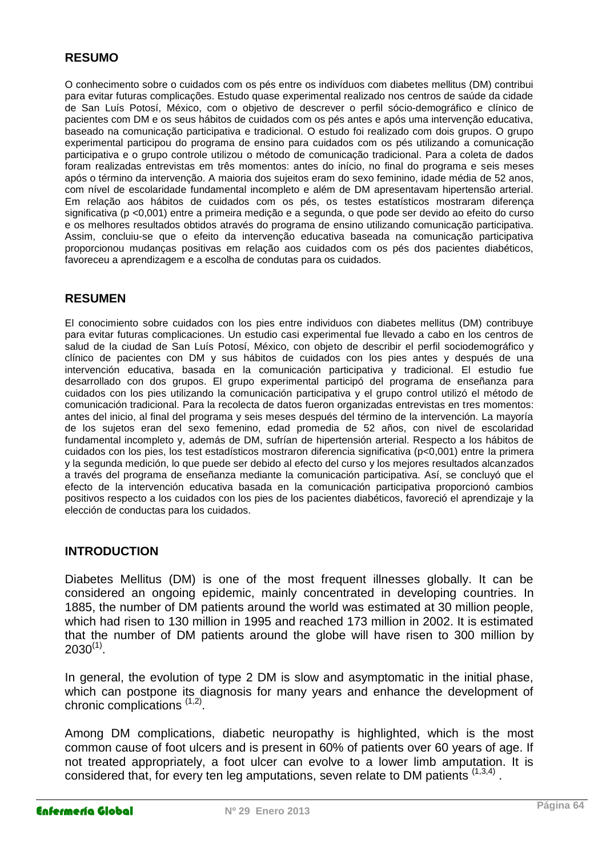# **RESUMO**

O conhecimento sobre o cuidados com os pés entre os indivíduos com diabetes mellitus (DM) contribui para evitar futuras complicações. Estudo quase experimental realizado nos centros de saúde da cidade de San Luís Potosí, México, com o objetivo de descrever o perfil sócio-demográfico e clínico de pacientes com DM e os seus hábitos de cuidados com os pés antes e após uma intervenção educativa, baseado na comunicação participativa e tradicional. O estudo foi realizado com dois grupos. O grupo experimental participou do programa de ensino para cuidados com os pés utilizando a comunicação participativa e o grupo controle utilizou o método de comunicação tradicional. Para a coleta de dados foram realizadas entrevistas em três momentos: antes do início, no final do programa e seis meses após o término da intervenção. A maioria dos sujeitos eram do sexo feminino, idade média de 52 anos, com nível de escolaridade fundamental incompleto e além de DM apresentavam hipertensão arterial. Em relação aos hábitos de cuidados com os pés, os testes estatísticos mostraram diferença significativa (p <0,001) entre a primeira medição e a segunda, o que pode ser devido ao efeito do curso e os melhores resultados obtidos através do programa de ensino utilizando comunicação participativa. Assim, concluiu-se que o efeito da intervenção educativa baseada na comunicação participativa proporcionou mudanças positivas em relação aos cuidados com os pés dos pacientes diabéticos, favoreceu a aprendizagem e a escolha de condutas para os cuidados.

## **RESUMEN**

El conocimiento sobre cuidados con los pies entre individuos con diabetes mellitus (DM) contribuye para evitar futuras complicaciones. Un estudio casi experimental fue llevado a cabo en los centros de salud de la ciudad de San Luís Potosí, México, con objeto de describir el perfil sociodemográfico y clínico de pacientes con DM y sus hábitos de cuidados con los pies antes y después de una intervención educativa, basada en la comunicación participativa y tradicional. El estudio fue desarrollado con dos grupos. El grupo experimental participó del programa de enseñanza para cuidados con los pies utilizando la comunicación participativa y el grupo control utilizó el método de comunicación tradicional. Para la recolecta de datos fueron organizadas entrevistas en tres momentos: antes del inicio, al final del programa y seis meses después del término de la intervención. La mayoría de los sujetos eran del sexo femenino, edad promedia de 52 años, con nivel de escolaridad fundamental incompleto y, además de DM, sufrían de hipertensión arterial. Respecto a los hábitos de cuidados con los pies, los test estadísticos mostraron diferencia significativa (p<0,001) entre la primera y la segunda medición, lo que puede ser debido al efecto del curso y los mejores resultados alcanzados a través del programa de enseñanza mediante la comunicación participativa. Así, se concluyó que el efecto de la intervención educativa basada en la comunicación participativa proporcionó cambios positivos respecto a los cuidados con los pies de los pacientes diabéticos, favoreció el aprendizaje y la elección de conductas para los cuidados.

#### **INTRODUCTION**

Diabetes Mellitus (DM) is one of the most frequent illnesses globally. It can be considered an ongoing epidemic, mainly concentrated in developing countries. In 1885, the number of DM patients around the world was estimated at 30 million people, which had risen to 130 million in 1995 and reached 173 million in 2002. It is estimated that the number of DM patients around the globe will have risen to 300 million by  $2030^{(1)}$ .

In general, the evolution of type 2 DM is slow and asymptomatic in the initial phase, which can postpone its diagnosis for many years and enhance the development of chronic complications <sup>(1,2)</sup>.

Among DM complications, diabetic neuropathy is highlighted, which is the most common cause of foot ulcers and is present in 60% of patients over 60 years of age. If not treated appropriately, a foot ulcer can evolve to a lower limb amputation. It is considered that, for every ten leg amputations, seven relate to DM patients  $(1,3,4)$ .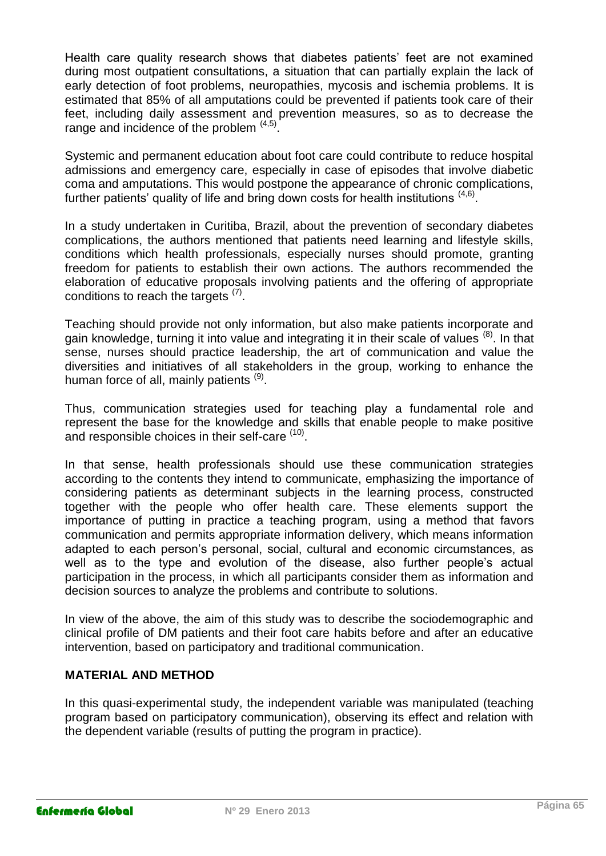Health care quality research shows that diabetes patients' feet are not examined during most outpatient consultations, a situation that can partially explain the lack of early detection of foot problems, neuropathies, mycosis and ischemia problems. It is estimated that 85% of all amputations could be prevented if patients took care of their feet, including daily assessment and prevention measures, so as to decrease the range and incidence of the problem  $(4,5)$ .

Systemic and permanent education about foot care could contribute to reduce hospital admissions and emergency care, especially in case of episodes that involve diabetic coma and amputations. This would postpone the appearance of chronic complications, further patients' quality of life and bring down costs for health institutions  $(4,6)$ .

In a study undertaken in Curitiba, Brazil, about the prevention of secondary diabetes complications, the authors mentioned that patients need learning and lifestyle skills, conditions which health professionals, especially nurses should promote, granting freedom for patients to establish their own actions. The authors recommended the elaboration of educative proposals involving patients and the offering of appropriate conditions to reach the targets  $(7)$ .

Teaching should provide not only information, but also make patients incorporate and gain knowledge, turning it into value and integrating it in their scale of values <sup>(8)</sup>. In that sense, nurses should practice leadership, the art of communication and value the diversities and initiatives of all stakeholders in the group, working to enhance the human force of all, mainly patients <sup>(9)</sup>.

Thus, communication strategies used for teaching play a fundamental role and represent the base for the knowledge and skills that enable people to make positive and responsible choices in their self-care (10).

In that sense, health professionals should use these communication strategies according to the contents they intend to communicate, emphasizing the importance of considering patients as determinant subjects in the learning process, constructed together with the people who offer health care. These elements support the importance of putting in practice a teaching program, using a method that favors communication and permits appropriate information delivery, which means information adapted to each person's personal, social, cultural and economic circumstances, as well as to the type and evolution of the disease, also further people's actual participation in the process, in which all participants consider them as information and decision sources to analyze the problems and contribute to solutions.

In view of the above, the aim of this study was to describe the sociodemographic and clinical profile of DM patients and their foot care habits before and after an educative intervention, based on participatory and traditional communication.

# **MATERIAL AND METHOD**

In this quasi-experimental study, the independent variable was manipulated (teaching program based on participatory communication), observing its effect and relation with the dependent variable (results of putting the program in practice).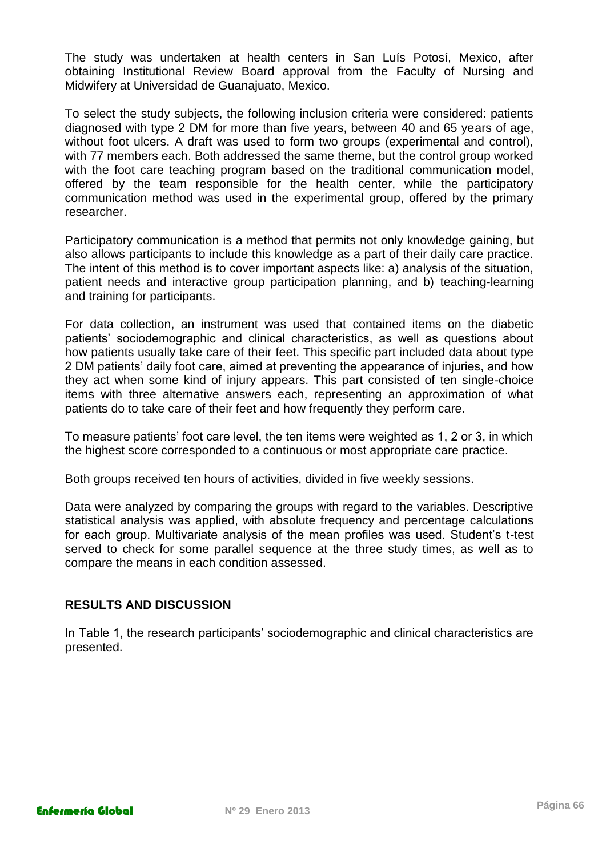The study was undertaken at health centers in San Luís Potosí, Mexico, after obtaining Institutional Review Board approval from the Faculty of Nursing and Midwifery at Universidad de Guanajuato, Mexico.

To select the study subjects, the following inclusion criteria were considered: patients diagnosed with type 2 DM for more than five years, between 40 and 65 years of age, without foot ulcers. A draft was used to form two groups (experimental and control), with 77 members each. Both addressed the same theme, but the control group worked with the foot care teaching program based on the traditional communication model, offered by the team responsible for the health center, while the participatory communication method was used in the experimental group, offered by the primary researcher.

Participatory communication is a method that permits not only knowledge gaining, but also allows participants to include this knowledge as a part of their daily care practice. The intent of this method is to cover important aspects like: a) analysis of the situation, patient needs and interactive group participation planning, and b) teaching-learning and training for participants.

For data collection, an instrument was used that contained items on the diabetic patients' sociodemographic and clinical characteristics, as well as questions about how patients usually take care of their feet. This specific part included data about type 2 DM patients' daily foot care, aimed at preventing the appearance of injuries, and how they act when some kind of injury appears. This part consisted of ten single-choice items with three alternative answers each, representing an approximation of what patients do to take care of their feet and how frequently they perform care.

To measure patients' foot care level, the ten items were weighted as 1, 2 or 3, in which the highest score corresponded to a continuous or most appropriate care practice.

Both groups received ten hours of activities, divided in five weekly sessions.

Data were analyzed by comparing the groups with regard to the variables. Descriptive statistical analysis was applied, with absolute frequency and percentage calculations for each group. Multivariate analysis of the mean profiles was used. Student's t-test served to check for some parallel sequence at the three study times, as well as to compare the means in each condition assessed.

# **RESULTS AND DISCUSSION**

In Table 1, the research participants' sociodemographic and clinical characteristics are presented.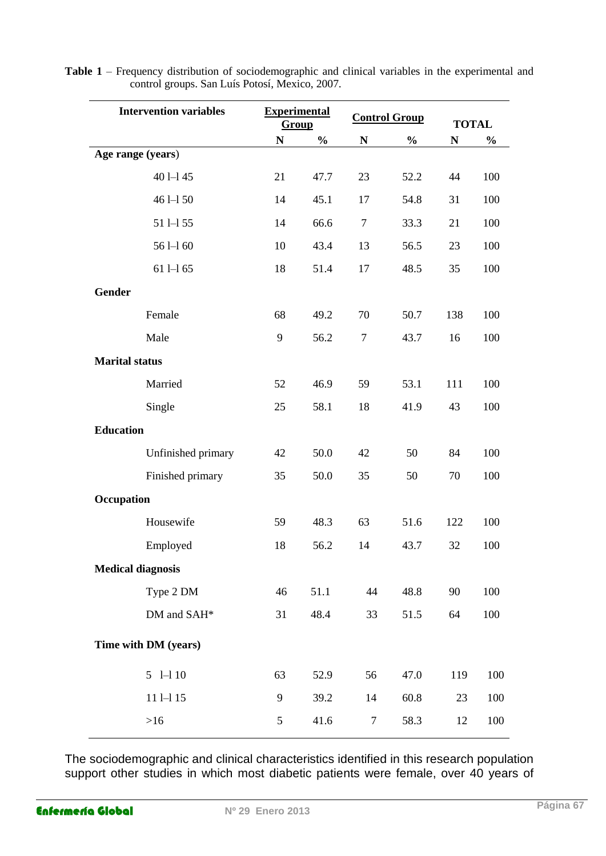| <b>Intervention variables</b> | <b>Experimental</b><br>Group |               | <b>Control Group</b> |               | <b>TOTAL</b> |               |  |
|-------------------------------|------------------------------|---------------|----------------------|---------------|--------------|---------------|--|
|                               | N                            | $\frac{1}{2}$ | $\mathbb N$          | $\frac{0}{0}$ | N            | $\frac{0}{0}$ |  |
| Age range (years)             |                              |               |                      |               |              |               |  |
| $401 - 145$                   | 21                           | 47.7          | 23                   | 52.2          | 44           | 100           |  |
| $461 - 150$                   | 14                           | 45.1          | 17                   | 54.8          | 31           | 100           |  |
| $511 - 55$                    | 14                           | 66.6          | $\tau$               | 33.3          | 21           | 100           |  |
| $561 - 160$                   | 10                           | 43.4          | 13                   | 56.5          | 23           | 100           |  |
| $611 - 165$                   | 18                           | 51.4          | 17                   | 48.5          | 35           | 100           |  |
| <b>Gender</b>                 |                              |               |                      |               |              |               |  |
| Female                        | 68                           | 49.2          | 70                   | 50.7          | 138          | 100           |  |
| Male                          | 9                            | 56.2          | $\tau$               | 43.7          | 16           | 100           |  |
| <b>Marital status</b>         |                              |               |                      |               |              |               |  |
| Married                       | 52                           | 46.9          | 59                   | 53.1          | 111          | 100           |  |
| Single                        | 25                           | 58.1          | 18                   | 41.9          | 43           | 100           |  |
| <b>Education</b>              |                              |               |                      |               |              |               |  |
| Unfinished primary            | 42                           | 50.0          | 42                   | 50            | 84           | 100           |  |
| Finished primary              | 35                           | 50.0          | 35                   | 50            | 70           | 100           |  |
| Occupation                    |                              |               |                      |               |              |               |  |
| Housewife                     | 59                           | 48.3          | 63                   | 51.6          | 122          | 100           |  |
| Employed                      | 18                           | 56.2          | 14                   | 43.7          | 32           | 100           |  |
| <b>Medical diagnosis</b>      |                              |               |                      |               |              |               |  |
| Type 2 DM                     | 46                           | 51.1          | 44                   | 48.8          | 90           | 100           |  |
| DM and SAH*                   | 31                           | 48.4          | 33                   | 51.5          | 64           | 100           |  |
| Time with DM (years)          |                              |               |                      |               |              |               |  |
| $5$ 1-1 10                    | 63                           | 52.9          | 56                   | 47.0          | 119          | 100           |  |
| $111 - 15$                    | 9                            | 39.2          | 14                   | 60.8          | 23           | 100           |  |
| $>16$                         | 5                            | 41.6          | $\tau$               | 58.3          | 12           | 100           |  |
|                               |                              |               |                      |               |              |               |  |

**Table 1** – Frequency distribution of sociodemographic and clinical variables in the experimental and control groups. San Luís Potosí, Mexico, 2007.

The sociodemographic and clinical characteristics identified in this research population support other studies in which most diabetic patients were female, over 40 years of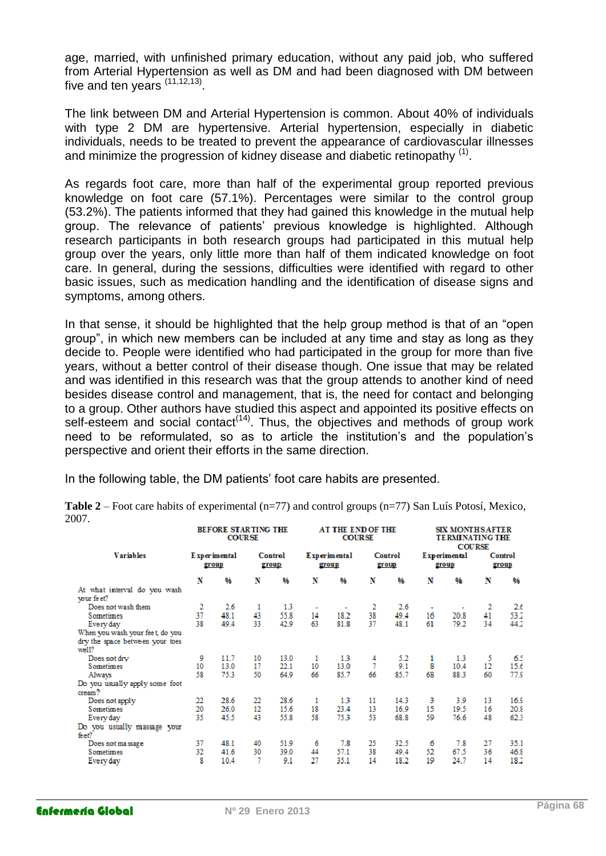age, married, with unfinished primary education, without any paid job, who suffered from Arterial Hypertension as well as DM and had been diagnosed with DM between five and ten years  $(11, 12, 13)$ .

The link between DM and Arterial Hypertension is common. About 40% of individuals with type 2 DM are hypertensive. Arterial hypertension, especially in diabetic individuals, needs to be treated to prevent the appearance of cardiovascular illnesses and minimize the progression of kidney disease and diabetic retinopathy  $(1)$ .

As regards foot care, more than half of the experimental group reported previous knowledge on foot care (57.1%). Percentages were similar to the control group (53.2%). The patients informed that they had gained this knowledge in the mutual help group. The relevance of patients' previous knowledge is highlighted. Although research participants in both research groups had participated in this mutual help group over the years, only little more than half of them indicated knowledge on foot care. In general, during the sessions, difficulties were identified with regard to other basic issues, such as medication handling and the identification of disease signs and symptoms, among others.

In that sense, it should be highlighted that the help group method is that of an "open group", in which new members can be included at any time and stay as long as they decide to. People were identified who had participated in the group for more than five years, without a better control of their disease though. One issue that may be related and was identified in this research was that the group attends to another kind of need besides disease control and management, that is, the need for contact and belonging to a group. Other authors have studied this aspect and appointed its positive effects on self-esteem and social contact<sup> $(14)$ </sup>. Thus, the objectives and methods of group work need to be reformulated, so as to article the institution's and the population's perspective and orient their efforts in the same direction.

In the following table, the DM patients' foot care habits are presented.

| ,,,,                                       | BEFORE STARTING THE<br><b>COURSE</b> |      |                  |      | <b>AT THE END OF THE</b><br><b>COURSE</b> |      |                  |      | <b>SIX MONTHS AFTER</b><br><b>TERMINATING THE</b><br><b>COURSE</b> |      |                  |      |
|--------------------------------------------|--------------------------------------|------|------------------|------|-------------------------------------------|------|------------------|------|--------------------------------------------------------------------|------|------------------|------|
| <b>Variables</b>                           | Experimental<br>group                |      | Control<br>group |      | <b>Experimental</b><br>group              |      | Control<br>group |      | <b>Experimental</b><br>group                                       |      | Control<br>group |      |
|                                            | N                                    | 96   | N                | 96   | N                                         | 0/6  | N                | 96   | N                                                                  | 96   | N                | %    |
| At what interval do you wash<br>your feet? |                                      |      |                  |      |                                           |      |                  |      |                                                                    |      |                  |      |
| Does not wash them                         | 2                                    | 2.6  | 1                | 1.3  | ٠                                         |      | 2                | 2.6  | ٠                                                                  |      | 2                | 2.6  |
| Sometimes                                  | 37                                   | 48.1 | 43               | 55.8 | 14                                        | 18.2 | 38               | 49.4 | 16                                                                 | 20.8 | 41               | 53.2 |
| Every day                                  | 38                                   | 49.4 | 33               | 42.9 | 63                                        | 81.8 | 37               | 48.1 | 61                                                                 | 79.2 | 34               | 44.2 |
| When you wash your fee t, do you           |                                      |      |                  |      |                                           |      |                  |      |                                                                    |      |                  |      |
| dry the space between your toes<br>well1   |                                      |      |                  |      |                                           |      |                  |      |                                                                    |      |                  |      |
| Does not dry                               | 9                                    | 11.7 | 10               | 13.0 | 1                                         | 13   | 4                | 5.2  | 1                                                                  | 1.3  | 5                | 6.1  |
| <b>Sometimes</b>                           | 10                                   | 13.0 | 17               | 22.1 | 10                                        | 13.0 |                  | 9.1  | 8                                                                  | 10.4 | 12               | 15.6 |
| Always                                     | 58                                   | 75.3 | 50               | 64.9 | 66                                        | 85.7 | 66               | 85.7 | 68                                                                 | 88.3 | 60               | 77.S |
| Do you usually apply some foot             |                                      |      |                  |      |                                           |      |                  |      |                                                                    |      |                  |      |
| cream?                                     |                                      |      |                  |      |                                           |      |                  |      |                                                                    |      |                  |      |
| Does not apply                             | 22                                   | 28.6 | 22               | 28.6 | 1                                         | 13   | 11               | 14.3 | 3                                                                  | 3.9  | 13               | 16.5 |
| Sometimes                                  | 20                                   | 26.0 | $12 \,$          | 15.6 | 18                                        | 23.4 | 13               | 16.9 | 15                                                                 | 19.5 | 16               | 20.8 |
| Every day                                  | 35                                   | 45.5 | 43               | 55.8 | 58                                        | 75.3 | 53               | 68.8 | 59                                                                 | 76.6 | 4.8              | 62.3 |
| Do you usually massage your<br>feet?       |                                      |      |                  |      |                                           |      |                  |      |                                                                    |      |                  |      |
| Does not massage                           | 37                                   | 48.1 | 40               | 51.9 | 6                                         | 7.8  | 25               | 32.5 | 6                                                                  | 7.8  | 27               | 35.1 |
| <b>Sometimes</b>                           | 32                                   | 41.6 | 30               | 39.0 | 44                                        | 57.1 | 38               | 49.4 | 52                                                                 | 67.5 | 36               | 46.8 |
| Every day                                  | 8                                    | 10.4 | 7                | 9.1  | 27                                        | 35.1 | 14               | 18.2 | 19                                                                 | 24.7 | 14               | 18.2 |

**Table 2** – Foot care habits of experimental (n=77) and control groups (n=77) San Luís Potosí, Mexico, 2007.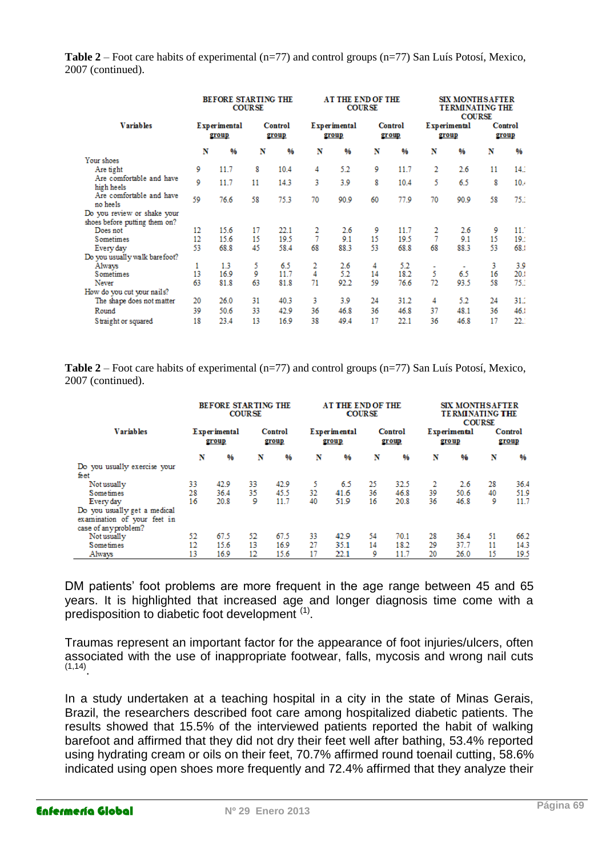**Table 2** – Foot care habits of experimental (n=77) and control groups (n=77) San Luís Potosí, Mexico, 2007 (continued).

|                                        | <b>BEFORE STARTING THE</b><br><b>COURSE</b> |      |                  |      | <b>AT THE END OF THE</b><br><b>COURSE</b> |               |                  |               | <b>SIX MONTHSAFTER</b><br><b>TERMINATING THE</b><br><b>COURSE</b> |               |                  |      |
|----------------------------------------|---------------------------------------------|------|------------------|------|-------------------------------------------|---------------|------------------|---------------|-------------------------------------------------------------------|---------------|------------------|------|
| <b>Variables</b>                       | <b>Experimental</b><br>group                |      | Control<br>group |      | <b>Experimental</b><br>group              |               | Control<br>group |               | <b>Experimental</b><br>group                                      |               | Control<br>group |      |
|                                        | N                                           | 96   | N                | 0⁄ο  | N                                         | $\frac{9}{6}$ | N                | $\frac{9}{6}$ | N                                                                 | $\frac{9}{6}$ | N                | 0/6  |
| Your shoes                             |                                             |      |                  |      |                                           |               |                  |               |                                                                   |               |                  |      |
| Are tight                              | 9                                           | 11.7 | 8                | 10.4 | 4                                         | 5.2           | 9                | 11.7          | 2                                                                 | 2.6           | 11               | 14.3 |
| Are comfortable and have<br>high heels | 9                                           | 11.7 | 11               | 14.3 | 3                                         | 3.9           | 8                | 10.4          | 5                                                                 | 6.5           | 8                | 10.4 |
| Are comfortable and have<br>no heels   | 59                                          | 76.6 | 58               | 75.3 | 70                                        | 90.9          | 60               | 77.9          | 70                                                                | 90.9          | 58               | 75.1 |
| Do you review or shake your            |                                             |      |                  |      |                                           |               |                  |               |                                                                   |               |                  |      |
| shoes before putting them on?          |                                             |      |                  |      |                                           |               |                  |               |                                                                   |               |                  |      |
| Does not                               | 12                                          | 15.6 | 17               | 22.1 | 2                                         | 2.6           | 9                | 11.7          | 2                                                                 | 2.6           | 9                | 11.7 |
| Sometimes                              | 12                                          | 15.6 | 15               | 19.5 | 7                                         | 9.1           | 15               | 19.5          | 7                                                                 | 9.1           | 15               | 19.2 |
| Every day                              | 53                                          | 68.8 | 45               | 58.4 | 68                                        | 88.3          | 53               | 68.8          | 68                                                                | 88.3          | 53               | 68.1 |
| Do you usually walk barefoot?          |                                             |      |                  |      |                                           |               |                  |               |                                                                   |               |                  |      |
| Always                                 | 1                                           | 1.3  | 5                | 6.5  | 2                                         | 2.6           | 4                | 5.2           | ۰                                                                 | $\sim$        | 3                | 3.9  |
| <b>Sometimes</b>                       | 13                                          | 16.9 | 9                | 11.7 | 4                                         | 5.2           | 14               | 18.2          | 5                                                                 | 6.5           | 16               | 20.1 |
| Never                                  | 63                                          | 81.8 | 63               | 81.8 | 71                                        | 92.2          | 59               | 76.6          | 72                                                                | 93.5          | 58               | 75.1 |
| How do you cut your nails?             |                                             |      |                  |      |                                           |               |                  |               |                                                                   |               |                  |      |
| The shape does not matter              | 20                                          | 26.0 | 31               | 40.3 | 3                                         | 3.9           | 24               | 31.2          | 4                                                                 | 5.2           | 24               | 31.2 |
| Round                                  | 39                                          | 50.6 | 33               | 42.9 | 36                                        | 46.8          | 36               | 46.8          | 37                                                                | 48.1          | 36               | 46.  |
| Straight or squared                    | 18                                          | 23.4 | 13               | 16.9 | 38                                        | 49.4          | 17               | 22.1          | 36                                                                | 46.8          | 17               | 22.1 |

**Table 2** – Foot care habits of experimental (n=77) and control groups (n=77) San Luís Potosí, Mexico, 2007 (continued).

|                                                                                     |                              | <b>BEFORE STARTING THE</b> | <b>COURSE</b>    |      | <b>AT THE END OF THE</b><br><b>COURSE</b> |      |                  |      | <b>SIX MONTHSAFTER</b><br><b>TERMINATING THE</b><br><b>COURSE</b> |      |                  |               |
|-------------------------------------------------------------------------------------|------------------------------|----------------------------|------------------|------|-------------------------------------------|------|------------------|------|-------------------------------------------------------------------|------|------------------|---------------|
| <b>Variables</b>                                                                    | <b>Experimental</b><br>group |                            | Control<br>group |      | <b>Experimental</b><br>group              |      | Control<br>group |      | <b>Experimental</b><br>group                                      |      | Control<br>group |               |
|                                                                                     | N                            | $96^{\circ}$               | N                | %    | N                                         | 96   | N                | %    | N                                                                 | %    | N                | $\frac{9}{6}$ |
| Do you usually exercise your<br>feet                                                |                              |                            |                  |      |                                           |      |                  |      |                                                                   |      |                  |               |
| Not usually                                                                         | 33                           | 42.9                       | 33               | 42.9 |                                           | 6.5  | 25               | 32.5 |                                                                   | 2.6  | 28               | 36.4          |
| Sometimes                                                                           | 28                           | 36.4                       | 35               | 45.5 | 32                                        | 41.6 | 36               | 46.8 | 39                                                                | 50.6 | 40               | 51.9          |
| Every day                                                                           | 16                           | 20.8                       | 9                | 11.7 | 40                                        | 51.9 | 16               | 20.8 | 36                                                                | 46.8 | 9                | 11.7          |
| Do you usually get a medical<br>examination of your feet in<br>case of any problem? |                              |                            |                  |      |                                           |      |                  |      |                                                                   |      |                  |               |
| Not usually                                                                         | 52                           | 67.5                       | 52               | 67.5 | 33                                        | 42.9 | 54               | 70.1 | 28                                                                | 36.4 | 51               | 66.2          |
| Sometimes                                                                           | $12^{12}$                    | 15.6                       | 13               | 16.9 | 27                                        | 35.1 | 14               | 18.2 | 29                                                                | 37.7 | 11               | 14.3          |
| Always                                                                              | 13                           | 16.9                       | 12               | 15.6 | 17                                        | 22.1 | 9                | 11.7 | 20                                                                | 26.0 | 15               | 19.5          |

DM patients' foot problems are more frequent in the age range between 45 and 65 years. It is highlighted that increased age and longer diagnosis time come with a predisposition to diabetic foot development<sup>(1)</sup>.

Traumas represent an important factor for the appearance of foot injuries/ulcers, often associated with the use of inappropriate footwear, falls, mycosis and wrong nail cuts (1,14) .

In a study undertaken at a teaching hospital in a city in the state of Minas Gerais, Brazil, the researchers described foot care among hospitalized diabetic patients. The results showed that 15.5% of the interviewed patients reported the habit of walking barefoot and affirmed that they did not dry their feet well after bathing, 53.4% reported using hydrating cream or oils on their feet, 70.7% affirmed round toenail cutting, 58.6% indicated using open shoes more frequently and 72.4% affirmed that they analyze their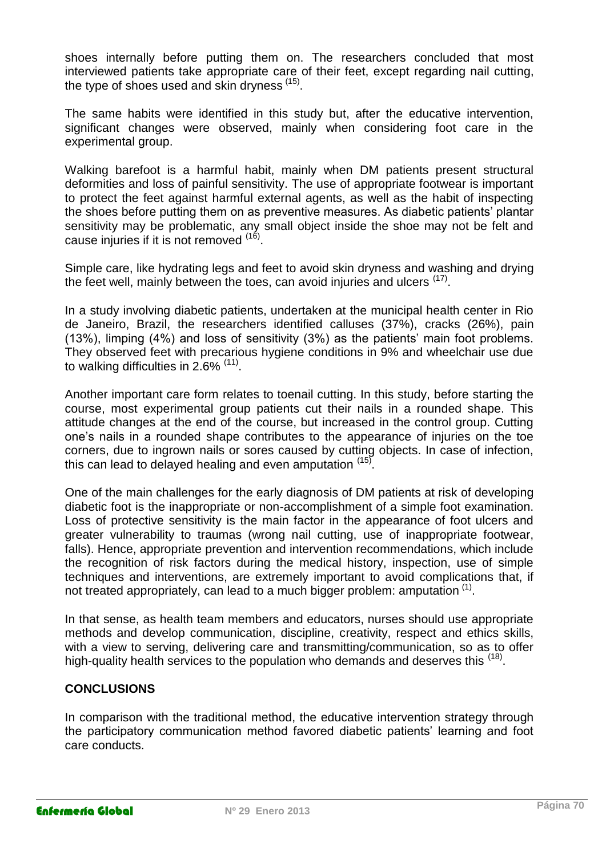shoes internally before putting them on. The researchers concluded that most interviewed patients take appropriate care of their feet, except regarding nail cutting, the type of shoes used and skin dryness (15).

The same habits were identified in this study but, after the educative intervention, significant changes were observed, mainly when considering foot care in the experimental group.

Walking barefoot is a harmful habit, mainly when DM patients present structural deformities and loss of painful sensitivity. The use of appropriate footwear is important to protect the feet against harmful external agents, as well as the habit of inspecting the shoes before putting them on as preventive measures. As diabetic patients' plantar sensitivity may be problematic, any small object inside the shoe may not be felt and cause injuries if it is not removed <sup>(16)</sup>.

Simple care, like hydrating legs and feet to avoid skin dryness and washing and drying the feet well, mainly between the toes, can avoid injuries and ulcers <sup>(17)</sup>.

In a study involving diabetic patients, undertaken at the municipal health center in Rio de Janeiro, Brazil, the researchers identified calluses (37%), cracks (26%), pain (13%), limping (4%) and loss of sensitivity (3%) as the patients' main foot problems. They observed feet with precarious hygiene conditions in 9% and wheelchair use due to walking difficulties in 2.6% <sup>(11)</sup>.

Another important care form relates to toenail cutting. In this study, before starting the course, most experimental group patients cut their nails in a rounded shape. This attitude changes at the end of the course, but increased in the control group. Cutting one's nails in a rounded shape contributes to the appearance of injuries on the toe corners, due to ingrown nails or sores caused by cutting objects. In case of infection, this can lead to delayed healing and even amputation <sup>(15)</sup>.

One of the main challenges for the early diagnosis of DM patients at risk of developing diabetic foot is the inappropriate or non-accomplishment of a simple foot examination. Loss of protective sensitivity is the main factor in the appearance of foot ulcers and greater vulnerability to traumas (wrong nail cutting, use of inappropriate footwear, falls). Hence, appropriate prevention and intervention recommendations, which include the recognition of risk factors during the medical history, inspection, use of simple techniques and interventions, are extremely important to avoid complications that, if not treated appropriately, can lead to a much bigger problem: amputation  $(1)$ .

In that sense, as health team members and educators, nurses should use appropriate methods and develop communication, discipline, creativity, respect and ethics skills, with a view to serving, delivering care and transmitting/communication, so as to offer high-quality health services to the population who demands and deserves this <sup>(18)</sup>.

## **CONCLUSIONS**

In comparison with the traditional method, the educative intervention strategy through the participatory communication method favored diabetic patients' learning and foot care conducts.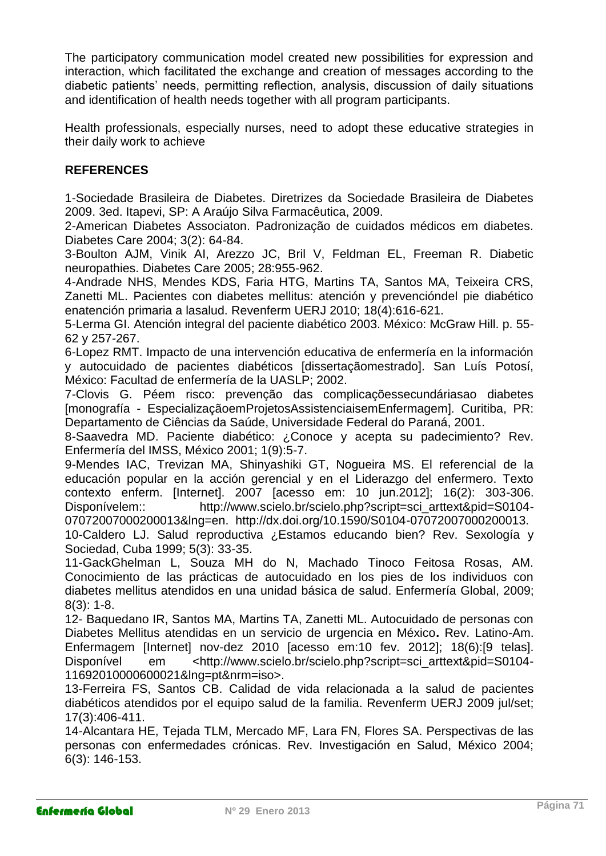The participatory communication model created new possibilities for expression and interaction, which facilitated the exchange and creation of messages according to the diabetic patients' needs, permitting reflection, analysis, discussion of daily situations and identification of health needs together with all program participants.

Health professionals, especially nurses, need to adopt these educative strategies in their daily work to achieve

# **REFERENCES**

1-Sociedade Brasileira de Diabetes. Diretrizes da Sociedade Brasileira de Diabetes 2009. 3ed. Itapevi, SP: A Araújo Silva Farmacêutica, 2009.

2-American Diabetes Associaton. Padronização de cuidados médicos em diabetes. Diabetes Care 2004; 3(2): 64-84.

3-Boulton AJM, Vinik AI, Arezzo JC, Bril V, Feldman EL, Freeman R. Diabetic neuropathies. Diabetes Care 2005; 28:955-962.

4-Andrade NHS, Mendes KDS, Faria HTG, Martins TA, Santos MA, Teixeira CRS, Zanetti ML. Pacientes con diabetes mellitus: atención y prevencióndel pie diabético enatención primaria a lasalud. Revenferm UERJ 2010; 18(4):616-621.

5-Lerma GI. Atención integral del paciente diabético 2003. México: McGraw Hill. p. 55- 62 y 257-267.

6-Lopez RMT. Impacto de una intervención educativa de enfermería en la información y autocuidado de pacientes diabéticos [dissertaçãomestrado]. San Luís Potosí, México: Facultad de enfermería de la UASLP; 2002.

7-Clovis G. Péem risco: prevenção das complicaçõessecundáriasao diabetes [monografía - EspecializaçãoemProjetosAssistenciaisemEnfermagem]. Curitiba, PR: Departamento de Ciências da Saúde, Universidade Federal do Paraná, 2001.

8-Saavedra MD. Paciente diabético: ¿Conoce y acepta su padecimiento? Rev. Enfermería del IMSS, México 2001; 1(9):5-7.

9-Mendes IAC, Trevizan MA, Shinyashiki GT, Nogueira MS. El referencial de la educación popular en la acción gerencial y en el Liderazgo del enfermero. Texto contexto enferm. [Internet]. 2007 [acesso em: 10 jun.2012]; 16(2): 303-306. Disponívelem:: http://www.scielo.br/scielo.php?script=sci\_arttext&pid=S0104-07072007000200013&lng=en. http://dx.doi.org/10.1590/S0104-07072007000200013.

10-Caldero LJ. Salud reproductiva ¿Estamos educando bien? Rev. Sexología y Sociedad, Cuba 1999; 5(3): 33-35.

11-GackGhelman L, Souza MH do N, Machado Tinoco Feitosa Rosas, AM. Conocimiento de las prácticas de autocuidado en los pies de los individuos con diabetes mellitus atendidos en una unidad básica de salud. Enfermería Global, 2009; 8(3): 1-8.

12- Baquedano IR, Santos MA, Martins TA, Zanetti ML. Autocuidado de personas con Diabetes Mellitus atendidas en un servicio de urgencia en México**.** Rev. Latino-Am. Enfermagem [Internet] nov-dez 2010 [acesso em:10 fev. 2012]; 18(6):[9 telas]. Disponível em <http://www.scielo.br/scielo.php?script=sci\_arttext&pid=S0104- 11692010000600021&lng=pt&nrm=iso>.

13-Ferreira FS, Santos CB. Calidad de vida relacionada a la salud de pacientes diabéticos atendidos por el equipo salud de la familia. Revenferm UERJ 2009 jul/set; 17(3):406-411.

14-Alcantara HE, Tejada TLM, Mercado MF, Lara FN, Flores SA. Perspectivas de las personas con enfermedades crónicas. Rev. Investigación en Salud, México 2004; 6(3): 146-153.